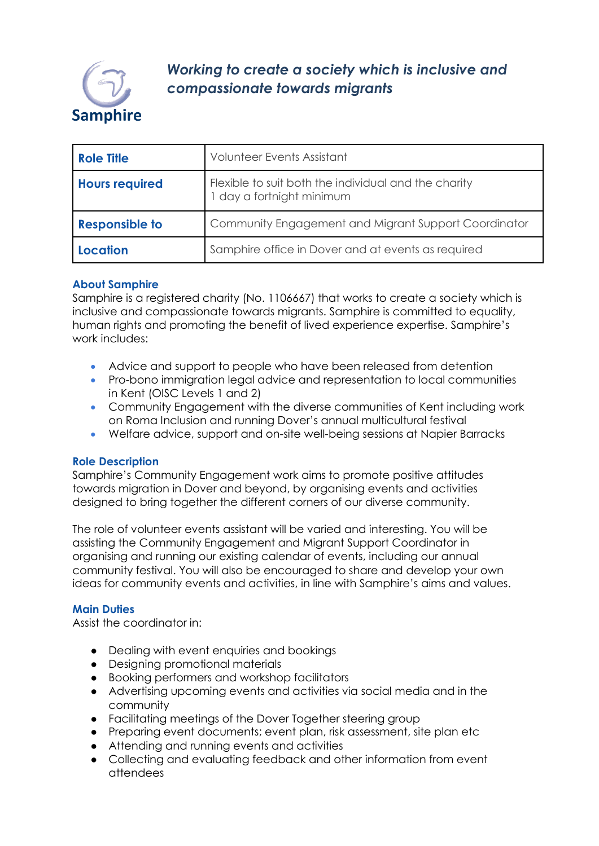

# *Working to create a society which is inclusive and compassionate towards migrants*

| <b>Role Title</b>     | <b>Volunteer Events Assistant</b>                                                 |
|-----------------------|-----------------------------------------------------------------------------------|
| <b>Hours required</b> | Flexible to suit both the individual and the charity<br>1 day a fortnight minimum |
| <b>Responsible to</b> | Community Engagement and Migrant Support Coordinator                              |
| Location              | Samphire office in Dover and at events as required                                |

## **About Samphire**

Samphire is a registered charity (No. 1106667) that works to create a society which is inclusive and compassionate towards migrants. Samphire is committed to equality, human rights and promoting the benefit of lived experience expertise. Samphire's work includes:

- Advice and support to people who have been released from detention
- Pro-bono immigration legal advice and representation to local communities in Kent (OISC Levels 1 and 2)
- Community Engagement with the diverse communities of Kent including work on Roma Inclusion and running Dover's annual multicultural festival
- Welfare advice, support and on-site well-being sessions at Napier Barracks

## **Role Description**

Samphire's Community Engagement work aims to promote positive attitudes towards migration in Dover and beyond, by organising events and activities designed to bring together the different corners of our diverse community.

The role of volunteer events assistant will be varied and interesting. You will be assisting the Community Engagement and Migrant Support Coordinator in organising and running our existing calendar of events, including our annual community festival. You will also be encouraged to share and develop your own ideas for community events and activities, in line with Samphire's aims and values.

#### **Main Duties**

Assist the coordinator in:

- Dealing with event enquiries and bookings
- Designing promotional materials
- Booking performers and workshop facilitators
- Advertising upcoming events and activities via social media and in the community
- Facilitating meetings of the Dover Together steering group
- Preparing event documents; event plan, risk assessment, site plan etc
- Attending and running events and activities
- Collecting and evaluating feedback and other information from event attendees